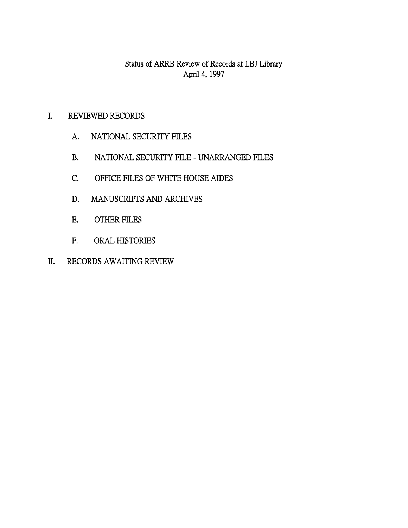Status of ARRB Review of Records at LBJ Library April 4, 1997

- I. REVIEWED RECORDS
	- A. NATIONAL SECURITY FILES
	- B. NATIONAL SECURITY FILE UNARRANGED FILES
	- C. OFFICE FILES OF WHITE HOUSE AIDES
	- D. MANUSCRIPTS AND ARCHIVES
	- E. OTHER FILES
	- F. ORAL HISTORIES
- II. RECORDS AWAITING REVIEW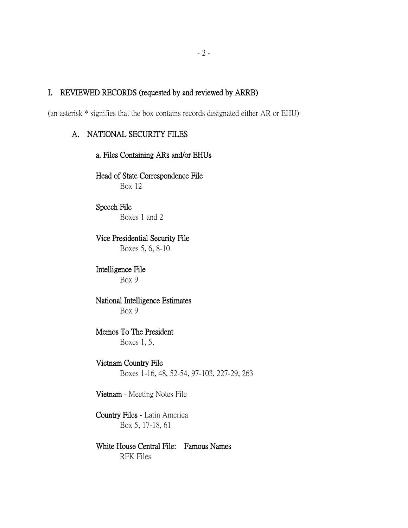## I. REVIEWED RECORDS (requested by and reviewed by ARRB)

(an asterisk \* signifies that the box contains records designated either AR or EHU)

# A. NATIONAL SECURITY FILES

a. Files Containing ARs and/or EHUs Head of State Correspondence File Box 12

### Speech File Boxes 1 and 2

Vice Presidential Security File Boxes 5, 6, 8-10

### Intelligence File Box 9

## National Intelligence Estimates Box 9

## Memos To The President Boxes 1, 5,

## Vietnam Country File

Boxes 1-16, 48, 52-54, 97-103, 227-29, 263

Vietnam - Meeting Notes File

## Country Files - Latin America Box 5, 17-18, 61

## White House Central File: Famous Names RFK Files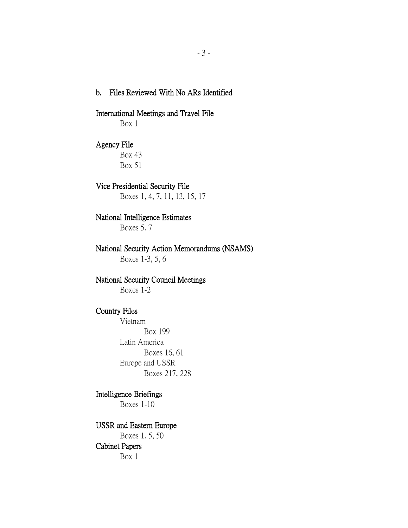## b. Files Reviewed With No ARs Identified

#### International Meetings and Travel File

Box 1

## Agency File

Box 43 Box 51

### Vice Presidential Security File

Boxes 1, 4, 7, 11, 13, 15, 17

### National Intelligence Estimates

Boxes 5, 7

# National Security Action Memorandums (NSAMS)

Boxes 1-3, 5, 6

## National Security Council Meetings

Boxes 1-2

## Country Files

Vietnam Box 199 Latin America Boxes 16, 61 Europe and USSR Boxes 217, 228

## Intelligence Briefings

Boxes 1-10

# USSR and Eastern Europe

Boxes 1, 5, 50 Cabinet Papers Box 1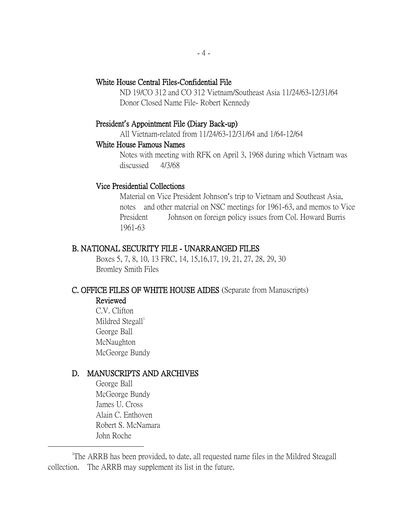## White House Central Files-Confidential File

ND 19/CO 312 and CO 312 Vietnam/Southeast Asia 11/24/63-12/31/64 Donor Closed Name File- Robert Kennedy

#### President**'**s Appointment File (Diary Back-up)

All Vietnam-related from 11/24/63-12/31/64 and 1/64-12/64

#### White House Famous Names

Notes with meeting with RFK on April 3, 1968 during which Vietnam was discussed 4/3/68

#### Vice Presidential Collections

Material on Vice President Johnson's trip to Vietnam and Southeast Asia, notes and other material on NSC meetings for 1961-63, and memos to Vice President Johnson on foreign policy issues from Col. Howard Burris 1961-63

## B. NATIONAL SECURITY FILE - UNARRANGED FILES

Boxes 5, 7, 8, 10, 13 FRC, 14, 15,16,17, 19, 21, 27, 28, 29, 30 Bromley Smith Files

### C. OFFICE FILES OF WHITE HOUSE AIDES (Separate from Manuscripts) Reviewed

C.V. Clifton Mildred  $Stegal<sup>1</sup>$ George Ball McNaughton McGeorge Bundy

### D. MANUSCRIPTS AND ARCHIVES

George Ball McGeorge Bundy James U. Cross Alain C. Enthoven Robert S. McNamara John Roche

 $\overline{a}$ 

<sup>1</sup>The ARRB has been provided, to date, all requested name files in the Mildred Steagall collection. The ARRB may supplement its list in the future.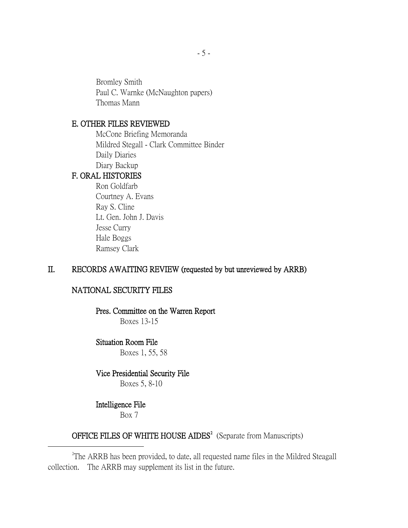Bromley Smith Paul C. Warnke (McNaughton papers) Thomas Mann

### E. OTHER FILES REVIEWED

McCone Briefing Memoranda Mildred Stegall - Clark Committee Binder Daily Diaries Diary Backup

### F. ORAL HISTORIES

Ron Goldfarb Courtney A. Evans Ray S. Cline Lt. Gen. John J. Davis Jesse Curry Hale Boggs Ramsey Clark

## II. RECORDS AWAITING REVIEW (requested by but unreviewed by ARRB)

## NATIONAL SECURITY FILES

## Pres. Committee on the Warren Report

Boxes 13-15

## Situation Room File

Boxes 1, 55, 58

### Vice Presidential Security File

Boxes 5, 8-10

#### Intelligence File

 $\overline{a}$ 

Box 7

## OFFICE FILES OF WHITE HOUSE  $AIDES<sup>2</sup>$  (Separate from Manuscripts)

<sup>2</sup>The ARRB has been provided, to date, all requested name files in the Mildred Steagall collection. The ARRB may supplement its list in the future.